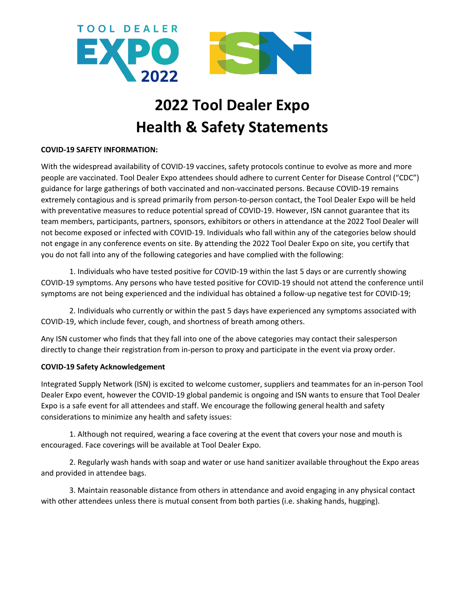

# **2022 Tool Dealer Expo Health & Safety Statements**

## **COVID-19 SAFETY INFORMATION:**

With the widespread availability of COVID-19 vaccines, safety protocols continue to evolve as more and more people are vaccinated. Tool Dealer Expo attendees should adhere to current Center for Disease Control ("CDC") guidance for large gatherings of both vaccinated and non-vaccinated persons. Because COVID-19 remains extremely contagious and is spread primarily from person-to-person contact, the Tool Dealer Expo will be held with preventative measures to reduce potential spread of COVID-19. However, ISN cannot guarantee that its team members, participants, partners, sponsors, exhibitors or others in attendance at the 2022 Tool Dealer will not become exposed or infected with COVID-19. Individuals who fall within any of the categories below should not engage in any conference events on site. By attending the 2022 Tool Dealer Expo on site, you certify that you do not fall into any of the following categories and have complied with the following:

 1. Individuals who have tested positive for COVID-19 within the last 5 days or are currently showing COVID-19 symptoms. Any persons who have tested positive for COVID-19 should not attend the conference until symptoms are not being experienced and the individual has obtained a follow-up negative test for COVID-19;

 2. Individuals who currently or within the past 5 days have experienced any symptoms associated with COVID-19, which include fever, cough, and shortness of breath among others.

Any ISN customer who finds that they fall into one of the above categories may contact their salesperson directly to change their registration from in-person to proxy and participate in the event via proxy order.

## **COVID-19 Safety Acknowledgement**

Integrated Supply Network (ISN) is excited to welcome customer, suppliers and teammates for an in-person Tool Dealer Expo event, however the COVID-19 global pandemic is ongoing and ISN wants to ensure that Tool Dealer Expo is a safe event for all attendees and staff. We encourage the following general health and safety considerations to minimize any health and safety issues:

 1. Although not required, wearing a face covering at the event that covers your nose and mouth is encouraged. Face coverings will be available at Tool Dealer Expo.

 2. Regularly wash hands with soap and water or use hand sanitizer available throughout the Expo areas and provided in attendee bags.

 3. Maintain reasonable distance from others in attendance and avoid engaging in any physical contact with other attendees unless there is mutual consent from both parties (i.e. shaking hands, hugging).